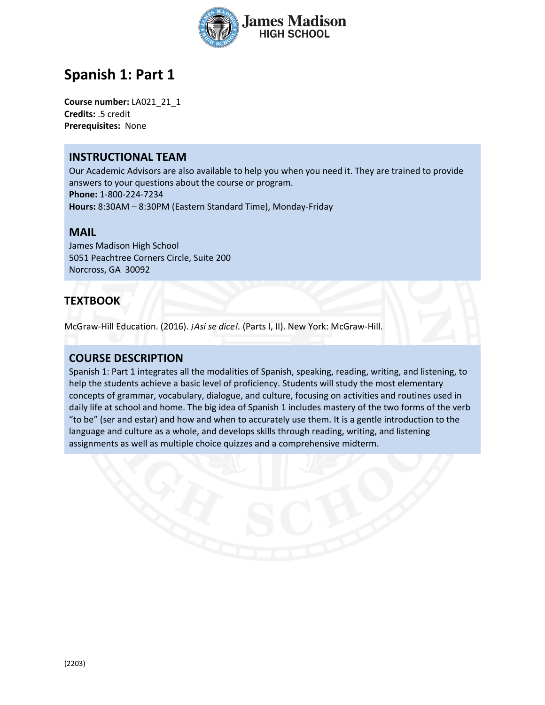

# **Spanish 1: Part 1**

**Course number:** LA021\_21\_1 **Credits:** .5 credit **Prerequisites:** None

### **INSTRUCTIONAL TEAM**

Our Academic Advisors are also available to help you when you need it. They are trained to provide answers to your questions about the course or program. **Phone:** 1-800-224-7234 **Hours:** 8:30AM – 8:30PM (Eastern Standard Time), Monday-Friday

#### **MAIL**

James Madison High School 5051 Peachtree Corners Circle, Suite 200 Norcross, GA 30092

## **TEXTBOOK**

McGraw-Hill Education. (2016). *¡Así se dice!.* (Parts I, II). New York: McGraw-Hill.

### **COURSE DESCRIPTION**

Spanish 1: Part 1 integrates all the modalities of Spanish, speaking, reading, writing, and listening, to help the students achieve a basic level of proficiency. Students will study the most elementary concepts of grammar, vocabulary, dialogue, and culture, focusing on activities and routines used in daily life at school and home. The big idea of Spanish 1 includes mastery of the two forms of the verb "to be" (ser and estar) and how and when to accurately use them. It is a gentle introduction to the language and culture as a whole, and develops skills through reading, writing, and listening assignments as well as multiple choice quizzes and a comprehensive midterm.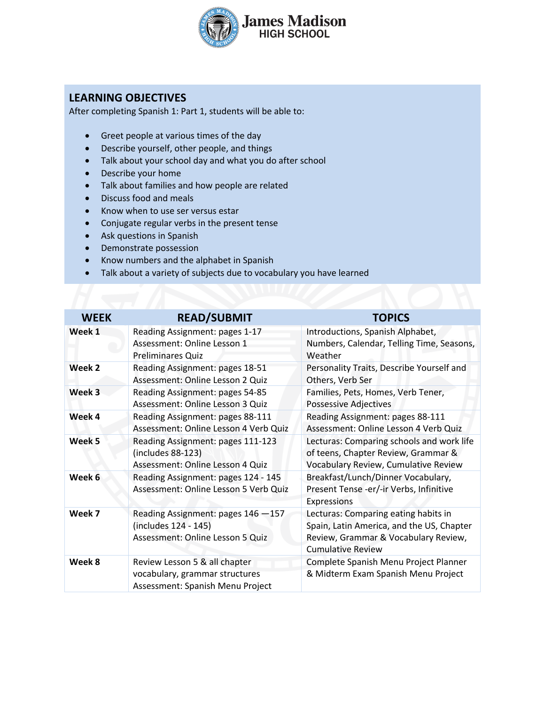

## **LEARNING OBJECTIVES**

After completing Spanish 1: Part 1, students will be able to:

- Greet people at various times of the day
- Describe yourself, other people, and things
- Talk about your school day and what you do after school
- Describe your home
- Talk about families and how people are related
- Discuss food and meals
- Know when to use ser versus estar
- Conjugate regular verbs in the present tense
- Ask questions in Spanish
- Demonstrate possession
- Know numbers and the alphabet in Spanish
- Talk about a variety of subjects due to vocabulary you have learned

| <b>WEEK</b> | <b>READ/SUBMIT</b>                                                                                  | <b>TOPICS</b>                                                                                                                                         |
|-------------|-----------------------------------------------------------------------------------------------------|-------------------------------------------------------------------------------------------------------------------------------------------------------|
| Week 1      | Reading Assignment: pages 1-17<br>Assessment: Online Lesson 1<br><b>Preliminares Quiz</b>           | Introductions, Spanish Alphabet,<br>Numbers, Calendar, Telling Time, Seasons,<br>Weather                                                              |
| Week 2      | Reading Assignment: pages 18-51<br>Assessment: Online Lesson 2 Quiz                                 | Personality Traits, Describe Yourself and<br>Others, Verb Ser                                                                                         |
| Week 3      | Reading Assignment: pages 54-85<br>Assessment: Online Lesson 3 Quiz                                 | Families, Pets, Homes, Verb Tener,<br><b>Possessive Adjectives</b>                                                                                    |
| Week 4      | Reading Assignment: pages 88-111<br>Assessment: Online Lesson 4 Verb Quiz                           | Reading Assignment: pages 88-111<br>Assessment: Online Lesson 4 Verb Quiz                                                                             |
| Week 5      | Reading Assignment: pages 111-123<br>(includes 88-123)<br>Assessment: Online Lesson 4 Quiz          | Lecturas: Comparing schools and work life<br>of teens, Chapter Review, Grammar &<br>Vocabulary Review, Cumulative Review                              |
| Week 6      | Reading Assignment: pages 124 - 145<br>Assessment: Online Lesson 5 Verb Quiz                        | Breakfast/Lunch/Dinner Vocabulary,<br>Present Tense -er/-ir Verbs, Infinitive<br>Expressions                                                          |
| Week 7      | Reading Assignment: pages 146 -157<br>(includes 124 - 145)<br>Assessment: Online Lesson 5 Quiz      | Lecturas: Comparing eating habits in<br>Spain, Latin America, and the US, Chapter<br>Review, Grammar & Vocabulary Review,<br><b>Cumulative Review</b> |
| Week 8      | Review Lesson 5 & all chapter<br>vocabulary, grammar structures<br>Assessment: Spanish Menu Project | Complete Spanish Menu Project Planner<br>& Midterm Exam Spanish Menu Project                                                                          |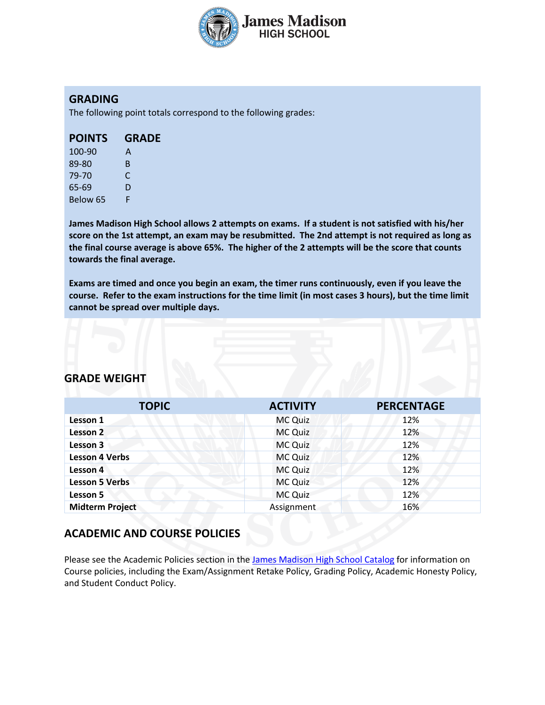

### **GRADING**

The following point totals correspond to the following grades:

| 100-90   | А  |
|----------|----|
| 89-80    | B. |
| 79-70    | C  |
| 65-69    | D  |
| Below 65 | F  |

**James Madison High School allows 2 attempts on exams. If a student is not satisfied with his/her score on the 1st attempt, an exam may be resubmitted. The 2nd attempt is not required as long as the final course average is above 65%. The higher of the 2 attempts will be the score that counts towards the final average.** 

**Exams are timed and once you begin an exam, the timer runs continuously, even if you leave the course. Refer to the exam instructions for the time limit (in most cases 3 hours), but the time limit cannot be spread over multiple days.**

### **GRADE WEIGHT**

| <b>TOPIC</b>           | <b>ACTIVITY</b> | <b>PERCENTAGE</b> |
|------------------------|-----------------|-------------------|
| Lesson 1               | <b>MC Quiz</b>  | 12%               |
| Lesson 2               | <b>MC Quiz</b>  | 12%               |
| Lesson 3               | MC Quiz         | 12%               |
| <b>Lesson 4 Verbs</b>  | <b>MC Quiz</b>  | 12%               |
| Lesson 4               | MC Quiz         | 12%               |
| <b>Lesson 5 Verbs</b>  | <b>MC Quiz</b>  | 12%               |
| Lesson 5               | MC Quiz         | 12%               |
| <b>Midterm Project</b> | Assignment      | 16%               |

## **ACADEMIC AND COURSE POLICIES**

Please see the Academic Policies section in the James Madison High School Catalog for information on Course policies, including the Exam/Assignment Retake Policy, Grading Policy, Academic Honesty Policy, and Student Conduct Policy.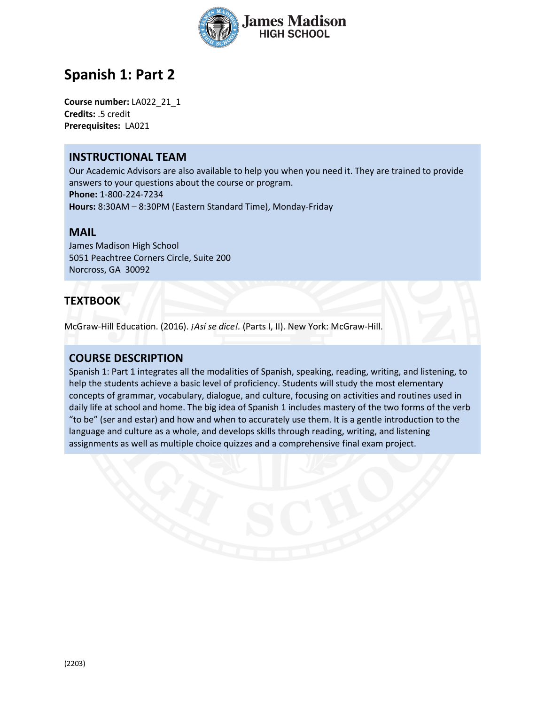

# **Spanish 1: Part 2**

**Course number:** LA022\_21\_1 **Credits:** .5 credit **Prerequisites:** LA021

### **INSTRUCTIONAL TEAM**

Our Academic Advisors are also available to help you when you need it. They are trained to provide answers to your questions about the course or program. **Phone:** 1-800-224-7234 **Hours:** 8:30AM – 8:30PM (Eastern Standard Time), Monday-Friday

#### **MAIL**

James Madison High School 5051 Peachtree Corners Circle, Suite 200 Norcross, GA 30092

## **TEXTBOOK**

McGraw-Hill Education. (2016). *¡Así se dice!.* (Parts I, II). New York: McGraw-Hill.

### **COURSE DESCRIPTION**

Spanish 1: Part 1 integrates all the modalities of Spanish, speaking, reading, writing, and listening, to help the students achieve a basic level of proficiency. Students will study the most elementary concepts of grammar, vocabulary, dialogue, and culture, focusing on activities and routines used in daily life at school and home. The big idea of Spanish 1 includes mastery of the two forms of the verb "to be" (ser and estar) and how and when to accurately use them. It is a gentle introduction to the language and culture as a whole, and develops skills through reading, writing, and listening assignments as well as multiple choice quizzes and a comprehensive final exam project.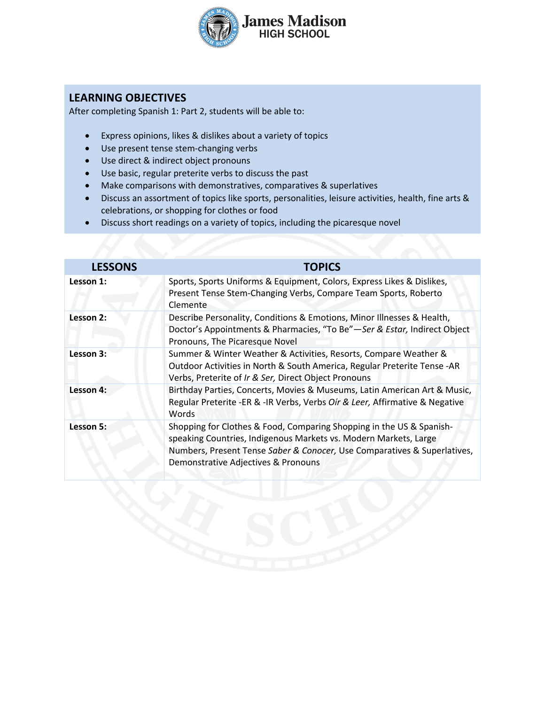

## **LEARNING OBJECTIVES**

After completing Spanish 1: Part 2, students will be able to:

- Express opinions, likes & dislikes about a variety of topics
- Use present tense stem-changing verbs
- Use direct & indirect object pronouns
- Use basic, regular preterite verbs to discuss the past
- Make comparisons with demonstratives, comparatives & superlatives
- Discuss an assortment of topics like sports, personalities, leisure activities, health, fine arts & celebrations, or shopping for clothes or food
- Discuss short readings on a variety of topics, including the picaresque novel

| <b>LESSONS</b> | <b>TOPICS</b>                                                                                                                                                                                                                                               |
|----------------|-------------------------------------------------------------------------------------------------------------------------------------------------------------------------------------------------------------------------------------------------------------|
| Lesson 1:      | Sports, Sports Uniforms & Equipment, Colors, Express Likes & Dislikes,<br>Present Tense Stem-Changing Verbs, Compare Team Sports, Roberto<br>Clemente                                                                                                       |
| Lesson 2:      | Describe Personality, Conditions & Emotions, Minor Illnesses & Health,<br>Doctor's Appointments & Pharmacies, "To Be"-Ser & Estar, Indirect Object<br>Pronouns, The Picaresque Novel                                                                        |
| Lesson 3:      | Summer & Winter Weather & Activities, Resorts, Compare Weather &<br>Outdoor Activities in North & South America, Regular Preterite Tense - AR<br>Verbs, Preterite of Ir & Ser, Direct Object Pronouns                                                       |
| Lesson 4:      | Birthday Parties, Concerts, Movies & Museums, Latin American Art & Music,<br>Regular Preterite - ER & - IR Verbs, Verbs Oir & Leer, Affirmative & Negative<br>Words                                                                                         |
| Lesson 5:      | Shopping for Clothes & Food, Comparing Shopping in the US & Spanish-<br>speaking Countries, Indigenous Markets vs. Modern Markets, Large<br>Numbers, Present Tense Saber & Conocer, Use Comparatives & Superlatives,<br>Demonstrative Adjectives & Pronouns |